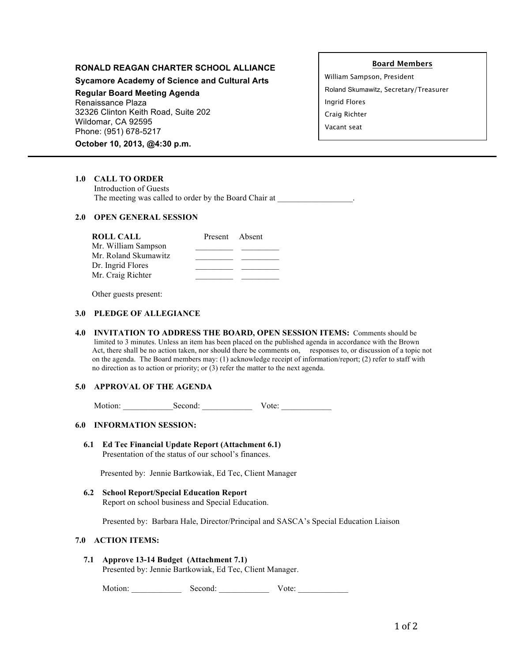# **RONALD REAGAN CHARTER SCHOOL ALLIANCE**

**Sycamore Academy of Science and Cultural Arts**

**Regular Board Meeting Agenda** Renaissance Plaza

32326 Clinton Keith Road, Suite 202 Wildomar, CA 92595 Phone: (951) 678-5217

**October 10, 2013, @4:30 p.m.**

## **Board Members**

William Sampson, President Roland Skumawitz, Secretary/Treasurer Ingrid Flores Craig Richter Vacant seat

**1.0 CALL TO ORDER**

 Introduction of Guests The meeting was called to order by the Board Chair at  $\qquad \qquad$ 

#### **2.0 OPEN GENERAL SESSION**

| <b>ROLL CALL</b>     | Present Absent |  |
|----------------------|----------------|--|
| Mr. William Sampson  |                |  |
| Mr. Roland Skumawitz |                |  |
| Dr. Ingrid Flores    |                |  |
| Mr. Craig Richter    |                |  |

Other guests present:

#### **3.0 PLEDGE OF ALLEGIANCE**

**4.0 INVITATION TO ADDRESS THE BOARD, OPEN SESSION ITEMS:** Comments should be limited to 3 minutes. Unless an item has been placed on the published agenda in accordance with the Brown Act, there shall be no action taken, nor should there be comments on, responses to, or discussion of a topic not on the agenda. The Board members may: (1) acknowledge receipt of information/report; (2) refer to staff with no direction as to action or priority; or (3) refer the matter to the next agenda.

## **5.0 APPROVAL OF THE AGENDA**

Motion: Second: Vote:

## **6.0 INFORMATION SESSION:**

**6.1 Ed Tec Financial Update Report (Attachment 6.1)** Presentation of the status of our school's finances.

Presented by: Jennie Bartkowiak, Ed Tec, Client Manager

**6.2 School Report/Special Education Report** Report on school business and Special Education.

Presented by: Barbara Hale, Director/Principal and SASCA's Special Education Liaison

#### **7.0 ACTION ITEMS:**

**7.1 Approve 13-14 Budget (Attachment 7.1)** Presented by: Jennie Bartkowiak, Ed Tec, Client Manager.

Motion: \_\_\_\_\_\_\_\_\_\_\_\_ Second: \_\_\_\_\_\_\_\_\_\_\_\_ Vote: \_\_\_\_\_\_\_\_\_\_\_\_